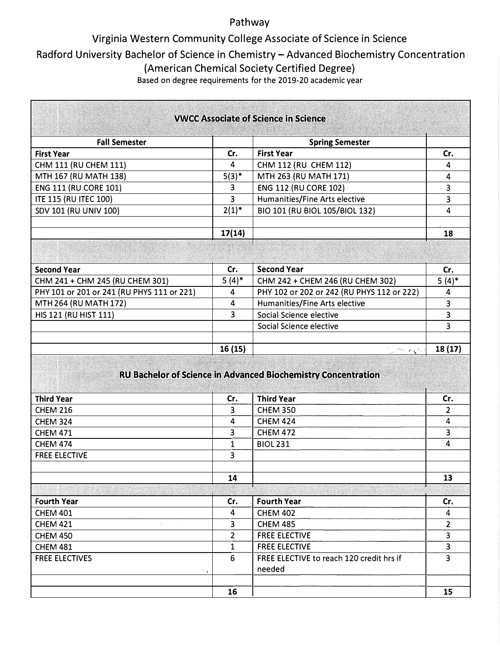### Pathway

## Virginia Western Community College Associate of Science in Science

# Radford University Bachelor of Science in Chemistry-Advanced Biochemistry Concentration

{American Chemical Society Certified Degree)

Based on degree requirements for the 2019-20 academic year

**The Communication** 

| <b>VWCC Associate of Science in Science</b> |                |                                                                      |                         |
|---------------------------------------------|----------------|----------------------------------------------------------------------|-------------------------|
|                                             |                |                                                                      |                         |
| <b>Fall Semester</b>                        |                | <b>Spring Semester</b>                                               |                         |
| <b>First Year</b>                           | Cr.            | <b>First Year</b>                                                    | Cr.                     |
| CHM 111 (RU CHEM 111)                       | 4              | CHM 112 (RU CHEM 112)                                                | 4                       |
| MTH 167 (RU MATH 138)                       | $5(3)^*$       | MTH 263 (RU MATH 171)                                                | 4                       |
| <b>ENG 111 (RU CORE 101)</b>                | 3              | <b>ENG 112 (RU CORE 102)</b>                                         | 3                       |
| <b>ITE 115 (RU ITEC 100)</b>                | 3              | Humanities/Fine Arts elective                                        | 3                       |
| SDV 101 (RU UNIV 100)                       | $2(1)^{*}$     | BIO 101 (RU BIOL 105/BIOL 132)                                       | 4                       |
|                                             | 17(14)         |                                                                      | 18                      |
|                                             |                |                                                                      |                         |
|                                             |                |                                                                      |                         |
| <b>Second Year</b>                          | Cr.            | <b>Second Year</b>                                                   | Cr.                     |
| CHM 241 + CHM 245 (RU CHEM 301)             | $5(4)$ *       | CHM 242 + CHEM 246 (RU CHEM 302)                                     | $5(4)^*$                |
| PHY 101 or 201 or 241 (RU PHYS 111 or 221)  | 4              | PHY 102 or 202 or 242 (RU PHYS 112 or 222)                           | 4                       |
| MTH 264 (RU MATH 172)                       | 4              | Humanities/Fine Arts elective                                        | $\overline{\mathbf{3}}$ |
| HIS 121 (RU HIST 111)                       | 3              | Social Science elective                                              | $\overline{3}$          |
|                                             |                | Social Science elective                                              | 3                       |
|                                             |                |                                                                      |                         |
|                                             | 16(15)         | w <sup>a</sup> sayan                                                 | 18(17)                  |
|                                             |                | <b>RU Bachelor of Science in Advanced Biochemistry Concentration</b> |                         |
| <b>Third Year</b>                           | Cr.            | <b>Third Year</b>                                                    | Cr.                     |
| <b>CHEM 216</b>                             | 3              | <b>CHEM 350</b>                                                      | $\overline{2}$          |
| <b>CHEM 324</b>                             | 4              | <b>CHEM 424</b>                                                      | 4                       |
| <b>CHEM 471</b>                             | 3              | <b>CHEM 472</b>                                                      | 3                       |
| <b>CHEM 474</b>                             | 1              | <b>BIOL 231</b>                                                      | 4                       |
| <b>FREE ELECTIVE</b>                        | 3              |                                                                      |                         |
|                                             | 14             |                                                                      | 13                      |
|                                             |                |                                                                      |                         |
|                                             |                |                                                                      |                         |
| <b>Fourth Year</b>                          | Cr.            | <b>Fourth Year</b>                                                   | Cr.                     |
| <b>CHEM 401</b>                             | 4              | <b>CHEM 402</b>                                                      | 4                       |
| <b>CHEM 421</b>                             | 3              | <b>CHEM 485</b>                                                      | $\overline{2}$          |
| <b>CHEM 450</b>                             | $\overline{2}$ | <b>FREE ELECTIVE</b>                                                 | $\overline{\mathbf{3}}$ |
| <b>CHEM 481</b>                             | 1              | <b>FREE ELECTIVE</b>                                                 | 3                       |
| <b>FREE ELECTIVES</b>                       | 6              | FREE ELECTIVE to reach 120 credit hrs if                             | 3                       |
| $\mathcal{F}$ .                             |                | needed                                                               |                         |
|                                             | 16             |                                                                      | 15                      |
|                                             |                |                                                                      |                         |